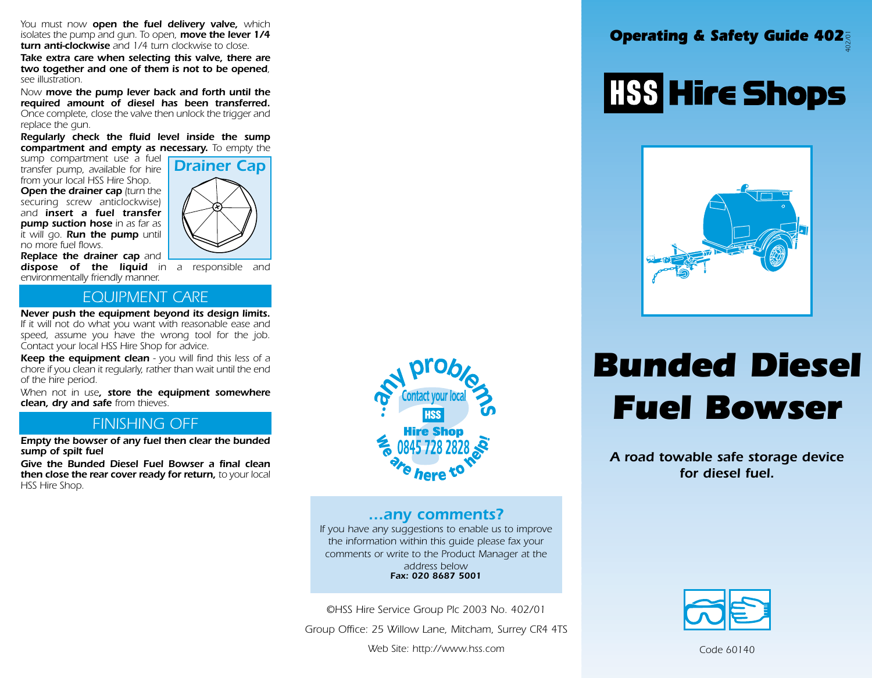*You must now open the fuel delivery valve, which isolates the pump and gun. To open, move the lever 1/4 turn anti-clockwise and 1/4 turn clockwise to close.*

*Take extra care when selecting this valve, there are two together and one of them is not to be opened, see illustration.*

*Now move the pump lever back and forth until the required amount of diesel has been transferred. Once complete, close the valve then unlock the trigger and replace the gun.*

*Regularly check the fluid level inside the sump compartment and empty as necessary. To empty the*

*sump compartment use a fuel transfer pump, available for hire from your local HSS Hire Shop.* 

*Open the drainer cap (turn the securing screw anticlockwise) and insert a fuel transfer pump suction hose in as far as it will go. Run the pump until no more fuel flows.*



*Replace the drainer cap and dispose of the liquid in a responsible and environmentally friendly manner.*

#### *EQUIPMENT CARE*

*Never push the equipment beyond its design limits. If it will not do what you want with reasonable ease and speed, assume you have the wrong tool for the job. Contact your local HSS Hire Shop for advice.*

*Keep the equipment clean - you will find this less of a chore if you clean it regularly, rather than wait until the end of the hire period.*

*When not in use, store the equipment somewhere clean, dry and safe from thieves.*

#### *FINISHING OFF*

*Empty the bowser of any fuel then clear the bunded sump of spilt fuel*

*Give the Bunded Diesel Fuel Bowser a final clean then close the rear cover ready for return, to your local HSS Hire Shop.*



#### *...any comments?*

*If you have any suggestions to enable us to improve the information within this guide please fax your comments or write to the Product Manager at the address below Fax: 020 8687 5001*

*©HSS Hire Service Group Plc 2003 No. 402/01*

*Group Office: 25 Willow Lane, Mitcham, Surrey CR4 4TS*

*Web Site: http://www.hss.com*

### *Operating & Safety Guide 402 402/01*

# **HSS Hire Shops**



## *Bunded Diesel Fuel Bowser*

*A road towable safe storage device for diesel fuel.*